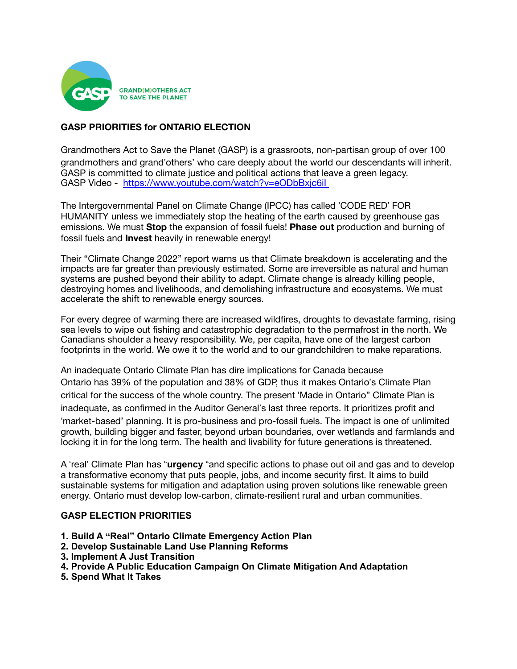

# **GASP PRIORITIES for ONTARIO ELECTION**

Grandmothers Act to Save the Planet (GASP) is a grassroots, non-partisan group of over 100 grandmothers and grand"others' who care deeply about the world our descendants will inherit. GASP is committed to climate justice and political actions that leave a green legacy. GASP Video - https://www.youtube.com/watch?v=eODbBxjc6il

The Intergovernmental Panel on Climate Change (IPCC) has called "CODE RED" FOR HUMANITY unless we immediately stop the heating of the earth caused by greenhouse gas emissions. We must **Stop** the expansion of fossil fuels! **Phase out** production and burning of fossil fuels and **Invest** heavily in renewable energy!

Their "Climate Change 2022" report warns us that Climate breakdown is accelerating and the impacts are far greater than previously estimated. Some are irreversible as natural and human systems are pushed beyond their ability to adapt. Climate change is already killing people, destroying homes and livelihoods, and demolishing infrastructure and ecosystems. We must accelerate the shift to renewable energy sources.

For every degree of warming there are increased wildfires, droughts to devastate farming, rising sea levels to wipe out fishing and catastrophic degradation to the permafrost in the north. We Canadians shoulder a heavy responsibility. We, per capita, have one of the largest carbon footprints in the world. We owe it to the world and to our grandchildren to make reparations.

An inadequate Ontario Climate Plan has dire implications for Canada because Ontario has 39% of the population and 38% of GDP, thus it makes Ontario"s Climate Plan critical for the success of the whole country. The present 'Made in Ontario" Climate Plan is inadequate, as confirmed in the Auditor General's last three reports. It prioritizes profit and 'market-based' planning. It is pro-business and pro-fossil fuels. The impact is one of unlimited growth, building bigger and faster, beyond urban boundaries, over wetlands and farmlands and locking it in for the long term. The health and livability for future generations is threatened.

A 'real' Climate Plan has "**urgency** "and specific actions to phase out oil and gas and to develop a transformative economy that puts people, jobs, and income security first. It aims to build sustainable systems for mitigation and adaptation using proven solutions like renewable green energy. Ontario must develop low-carbon, climate-resilient rural and urban communities.

### **GASP ELECTION PRIORITIES**

- **1. Build A "Real" Ontario Climate Emergency Action Plan**
- **2. Develop Sustainable Land Use Planning Reforms**
- **3. Implement A Just Transition**
- **4. Provide A Public Education Campaign On Climate Mitigation And Adaptation**
- **5. Spend What It Takes**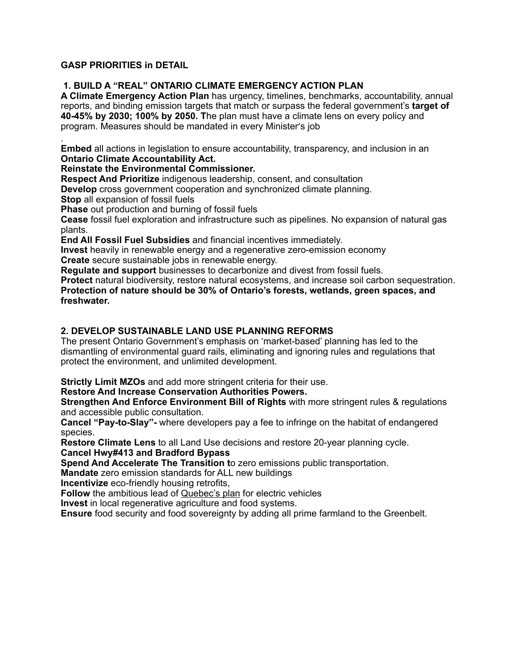# **GASP PRIORITIES in DETAIL**

# **1. BUILD A "REAL" ONTARIO CLIMATE EMERGENCY ACTION PLAN**

**A Climate Emergency Action Plan** has urgency, timelines, benchmarks, accountability, annual reports, and binding emission targets that match or surpass the federal government's **target of 40-45% by 2030; 100% by 2050. T**he plan must have a climate lens on every policy and program. Measures should be mandated in every Minister's job

. **Embed** all actions in legislation to ensure accountability, transparency, and inclusion in an **Ontario Climate Accountability Act.** 

#### **Reinstate the Environmental Commissioner.**

**Respect And Prioritize** indigenous leadership, consent, and consultation

**Develop** cross government cooperation and synchronized climate planning.

**Stop** all expansion of fossil fuels

**Phase** out production and burning of fossil fuels

**Cease** fossil fuel exploration and infrastructure such as pipelines. No expansion of natural gas plants.

**End All Fossil Fuel Subsidies** and financial incentives immediately.

**Invest** heavily in renewable energy and a regenerative zero-emission economy **Create** secure sustainable jobs in renewable energy.

**Regulate and support** businesses to decarbonize and divest from fossil fuels.

**Protect** natural biodiversity, restore natural ecosystems, and increase soil carbon sequestration. **Protection of nature should be 30% of Ontario's forests, wetlands, green spaces, and freshwater.**

# **2. DEVELOP SUSTAINABLE LAND USE PLANNING REFORMS**

The present Ontario Government's emphasis on 'market-based' planning has led to the dismantling of environmental guard rails, eliminating and ignoring rules and regulations that protect the environment, and unlimited development.

**Strictly Limit MZOs** and add more stringent criteria for their use.

### **Restore And Increase Conservation Authorities Powers.**

**Strengthen And Enforce Environment Bill of Rights** with more stringent rules & regulations and accessible public consultation.

**Cancel "Pay-to-Slay"-** where developers pay a fee to infringe on the habitat of endangered species.

**Restore Climate Lens** to all Land Use decisions and restore 20-year planning cycle. **Cancel Hwy#413 and Bradford Bypass**

**Spend And Accelerate The Transition t**o zero emissions public transportation.

**Mandate** zero emission standards for ALL new buildings

**Incentivize** eco-friendly housing retrofits,

**Follow** the ambitious lead of [Quebec's plan](https://vehiculeselectriques.gouv.qc.ca/english/) for electric vehicles

**Invest** in local regenerative agriculture and food systems.

**Ensure** food security and food sovereignty by adding all prime farmland to the Greenbelt.